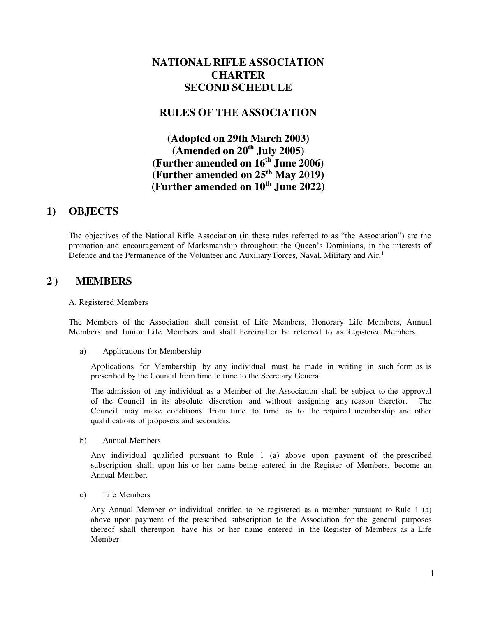# **NATIONAL RIFLE ASSOCIATION CHARTER SECOND SCHEDULE**

# **RULES OF THE ASSOCIATION**

**(Adopted on 29th March 2003) (Amended on 20th July 2005) (Further amended on 16th June 2006) (Further amended on 25th May 2019) (Further amended on 10th June 2022)** 

# **1) OBJECTS**

The objectives of the National Rifle Association (in these rules referred to as "the Association") are the promotion and encouragement of Marksmanship throughout the Queen's Dominions, in the interests of Defence and the Permanence of the Volunteer and Auxiliary Forces, Naval, Military and Air.<sup>1</sup>

# **2 ) MEMBERS**

### A. Registered Members

The Members of the Association shall consist of Life Members, Honorary Life Members, Annual Members and Junior Life Members and shall hereinafter be referred to as Registered Members.

a) Applications for Membership

Applications for Membership by any individual must be made in writing in such form as is prescribed by the Council from time to time to the Secretary General.

The admission of any individual as a Member of the Association shall be subject to the approval of the Council in its absolute discretion and without assigning any reason therefor. The Council may make conditions from time to time as to the required membership and other qualifications of proposers and seconders.

b) Annual Members

Any individual qualified pursuant to Rule 1 (a) above upon payment of the prescribed subscription shall, upon his or her name being entered in the Register of Members, become an Annual Member.

c) Life Members

Any Annual Member or individual entitled to be registered as a member pursuant to Rule 1 (a) above upon payment of the prescribed subscription to the Association for the general purposes thereof shall thereupon have his or her name entered in the Register of Members as a Life Member.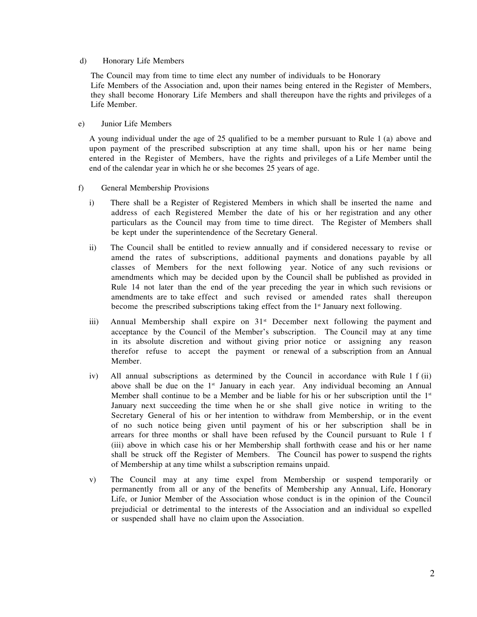### d) Honorary Life Members

The Council may from time to time elect any number of individuals to be Honorary Life Members of the Association and, upon their names being entered in the Register of Members, they shall become Honorary Life Members and shall thereupon have the rights and privileges of a Life Member.

### e) Junior Life Members

A young individual under the age of 25 qualified to be a member pursuant to Rule 1 (a) above and upon payment of the prescribed subscription at any time shall, upon his or her name being entered in the Register of Members, have the rights and privileges of a Life Member until the end of the calendar year in which he or she becomes 25 years of age.

### f) General Membership Provisions

- i) There shall be a Register of Registered Members in which shall be inserted the name and address of each Registered Member the date of his or her registration and any other particulars as the Council may from time to time direct. The Register of Members shall be kept under the superintendence of the Secretary General.
- ii) The Council shall be entitled to review annually and if considered necessary to revise or amend the rates of subscriptions, additional payments and donations payable by all classes of Members for the next following year. Notice of any such revisions or amendments which may be decided upon by the Council shall be published as provided in Rule 14 not later than the end of the year preceding the year in which such revisions or amendments are to take effect and such revised or amended rates shall thereupon become the prescribed subscriptions taking effect from the 1<sup>st</sup> January next following.
- iii) Annual Membership shall expire on  $31<sup>st</sup>$  December next following the payment and acceptance by the Council of the Member's subscription. The Council may at any time in its absolute discretion and without giving prior notice or assigning any reason therefor refuse to accept the payment or renewal of a subscription from an Annual Member.
- iv) All annual subscriptions as determined by the Council in accordance with Rule 1 f (ii) above shall be due on the 1<sup>st</sup> January in each year. Any individual becoming an Annual Member shall continue to be a Member and be liable for his or her subscription until the  $1<sup>st</sup>$ January next succeeding the time when he or she shall give notice in writing to the Secretary General of his or her intention to withdraw from Membership, or in the event of no such notice being given until payment of his or her subscription shall be in arrears for three months or shall have been refused by the Council pursuant to Rule 1 f (iii) above in which case his or her Membership shall forthwith cease and his or her name shall be struck off the Register of Members. The Council has power to suspend the rights of Membership at any time whilst a subscription remains unpaid.
- v) The Council may at any time expel from Membership or suspend temporarily or permanently from all or any of the benefits of Membership any Annual, Life, Honorary Life, or Junior Member of the Association whose conduct is in the opinion of the Council prejudicial or detrimental to the interests of the Association and an individual so expelled or suspended shall have no claim upon the Association.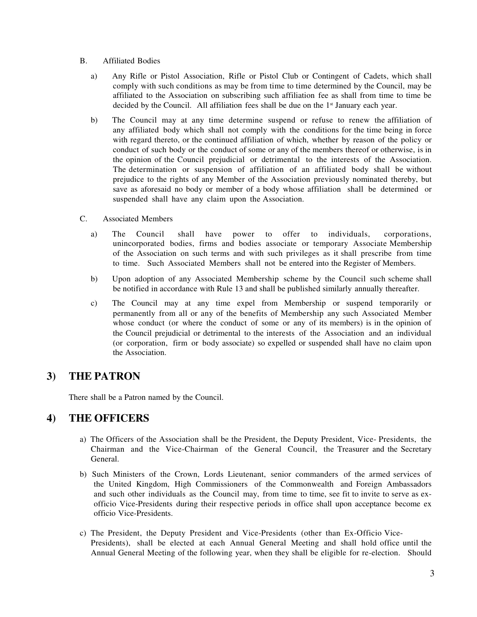### B. Affiliated Bodies

- a) Any Rifle or Pistol Association, Rifle or Pistol Club or Contingent of Cadets, which shall comply with such conditions as may be from time to time determined by the Council, may be affiliated to the Association on subscribing such affiliation fee as shall from time to time be decided by the Council. All affiliation fees shall be due on the  $1<sup>st</sup>$  January each year.
- b) The Council may at any time determine suspend or refuse to renew the affiliation of any affiliated body which shall not comply with the conditions for the time being in force with regard thereto, or the continued affiliation of which, whether by reason of the policy or conduct of such body or the conduct of some or any of the members thereof or otherwise, is in the opinion of the Council prejudicial or detrimental to the interests of the Association. The determination or suspension of affiliation of an affiliated body shall be without prejudice to the rights of any Member of the Association previously nominated thereby, but save as aforesaid no body or member of a body whose affiliation shall be determined or suspended shall have any claim upon the Association.
- C. Associated Members
	- a) The Council shall have power to offer to individuals, corporations, unincorporated bodies, firms and bodies associate or temporary Associate Membership of the Association on such terms and with such privileges as it shall prescribe from time to time. Such Associated Members shall not be entered into the Register of Members.
	- b) Upon adoption of any Associated Membership scheme by the Council such scheme shall be notified in accordance with Rule 13 and shall be published similarly annually thereafter.
	- c) The Council may at any time expel from Membership or suspend temporarily or permanently from all or any of the benefits of Membership any such Associated Member whose conduct (or where the conduct of some or any of its members) is in the opinion of the Council prejudicial or detrimental to the interests of the Association and an individual (or corporation, firm or body associate) so expelled or suspended shall have no claim upon the Association.

# **3) THE PATRON**

There shall be a Patron named by the Council.

## **4) THE OFFICERS**

- a) The Officers of the Association shall be the President, the Deputy President, Vice- Presidents, the Chairman and the Vice-Chairman of the General Council, the Treasurer and the Secretary General.
- b) Such Ministers of the Crown, Lords Lieutenant, senior commanders of the armed services of the United Kingdom, High Commissioners of the Commonwealth and Foreign Ambassadors and such other individuals as the Council may, from time to time, see fit to invite to serve as exofficio Vice-Presidents during their respective periods in office shall upon acceptance become ex officio Vice-Presidents.
- c) The President, the Deputy President and Vice-Presidents (other than Ex-Officio Vice- Presidents), shall be elected at each Annual General Meeting and shall hold office until the Annual General Meeting of the following year, when they shall be eligible for re-election. Should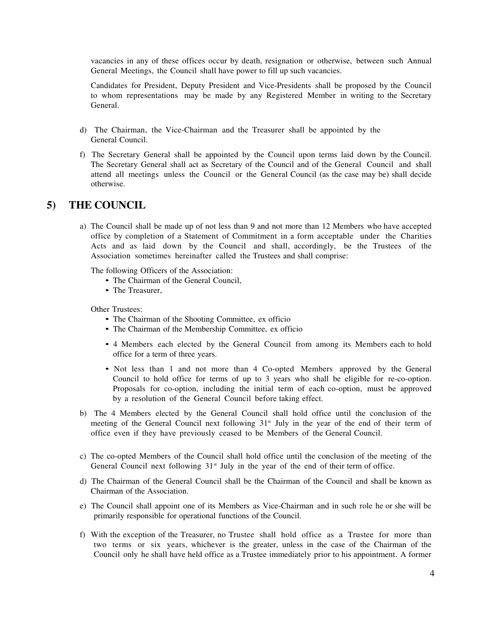vacancies in any of these offices occur by death, resignation or otherwise, between such Annual General Meetings, the Council shall have power to fill up such vacancies.

Candidates for President, Deputy President and Vice-Presidents shall be proposed by the Council to whom representations may be made by any Registered Member in writing to the Secretary General.

- d) The Chairman, the Vice-Chairman and the Treasurer shall be appointed by the General Council.
- f) The Secretary General shall be appointed by the Council upon terms laid down by the Council. The Secretary General shall act as Secretary of the Council and of the General Council and shall attend all meetings unless the Council or the General Council (as the case may be) shall decide otherwise.

### **5) THE COUNCIL**

a) The Council shall be made up of not less than 9 and not more than 12 Members who have accepted office by completion of a Statement of Commitment in a form acceptable under the Charities Acts and as laid down by the Council and shall, accordingly, be the Trustees of the Association sometimes hereinafter called the Trustees and shall comprise:

The following Officers of the Association:

- The Chairman of the General Council,
- The Treasurer,

Other Trustees:

- The Chairman of the Shooting Committee, ex officio
- The Chairman of the Membership Committee, ex officio
- 4 Members each elected by the General Council from among its Members each to hold office for a term of three years.
- Not less than 1 and not more than 4 Co-opted Members approved by the General Council to hold office for terms of up to 3 years who shall be eligible for re-co-option. Proposals for co-option, including the initial term of each co-option, must be approved by a resolution of the General Council before taking effect.
- b) The 4 Members elected by the General Council shall hold office until the conclusion of the meeting of the General Council next following  $31<sup>st</sup>$  July in the year of the end of their term of office even if they have previously ceased to be Members of the General Council.
- c) The co-opted Members of the Council shall hold office until the conclusion of the meeting of the General Council next following  $31<sup>st</sup>$  July in the year of the end of their term of office.
- d) The Chairman of the General Council shall be the Chairman of the Council and shall be known as Chairman of the Association.
- e) The Council shall appoint one of its Members as Vice-Chairman and in such role he or she will be primarily responsible for operational functions of the Council.
- f) With the exception of the Treasurer, no Trustee shall hold office as a Trustee for more than two terms or six years, whichever is the greater, unless in the case of the Chairman of the Council only he shall have held office as a Trustee immediately prior to his appointment. A former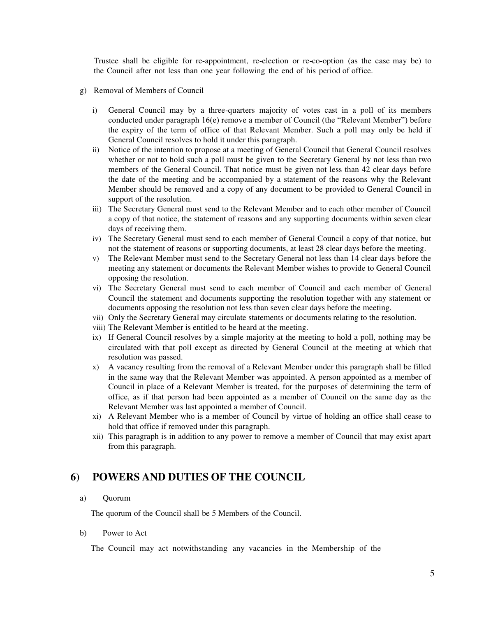Trustee shall be eligible for re-appointment, re-election or re-co-option (as the case may be) to the Council after not less than one year following the end of his period of office.

- g) Removal of Members of Council
	- i) General Council may by a three-quarters majority of votes cast in a poll of its members conducted under paragraph 16(e) remove a member of Council (the "Relevant Member") before the expiry of the term of office of that Relevant Member. Such a poll may only be held if General Council resolves to hold it under this paragraph.
	- ii) Notice of the intention to propose at a meeting of General Council that General Council resolves whether or not to hold such a poll must be given to the Secretary General by not less than two members of the General Council. That notice must be given not less than 42 clear days before the date of the meeting and be accompanied by a statement of the reasons why the Relevant Member should be removed and a copy of any document to be provided to General Council in support of the resolution.
	- iii) The Secretary General must send to the Relevant Member and to each other member of Council a copy of that notice, the statement of reasons and any supporting documents within seven clear days of receiving them.
	- iv) The Secretary General must send to each member of General Council a copy of that notice, but not the statement of reasons or supporting documents, at least 28 clear days before the meeting.
	- v) The Relevant Member must send to the Secretary General not less than 14 clear days before the meeting any statement or documents the Relevant Member wishes to provide to General Council opposing the resolution.
	- vi) The Secretary General must send to each member of Council and each member of General Council the statement and documents supporting the resolution together with any statement or documents opposing the resolution not less than seven clear days before the meeting.
	- vii) Only the Secretary General may circulate statements or documents relating to the resolution.
	- viii) The Relevant Member is entitled to be heard at the meeting.
	- ix) If General Council resolves by a simple majority at the meeting to hold a poll, nothing may be circulated with that poll except as directed by General Council at the meeting at which that resolution was passed.
	- x) A vacancy resulting from the removal of a Relevant Member under this paragraph shall be filled in the same way that the Relevant Member was appointed. A person appointed as a member of Council in place of a Relevant Member is treated, for the purposes of determining the term of office, as if that person had been appointed as a member of Council on the same day as the Relevant Member was last appointed a member of Council.
	- xi) A Relevant Member who is a member of Council by virtue of holding an office shall cease to hold that office if removed under this paragraph.
	- xii) This paragraph is in addition to any power to remove a member of Council that may exist apart from this paragraph.

## **6) POWERS AND DUTIES OF THE COUNCIL**

### a) Quorum

The quorum of the Council shall be 5 Members of the Council.

### b) Power to Act

The Council may act notwithstanding any vacancies in the Membership of the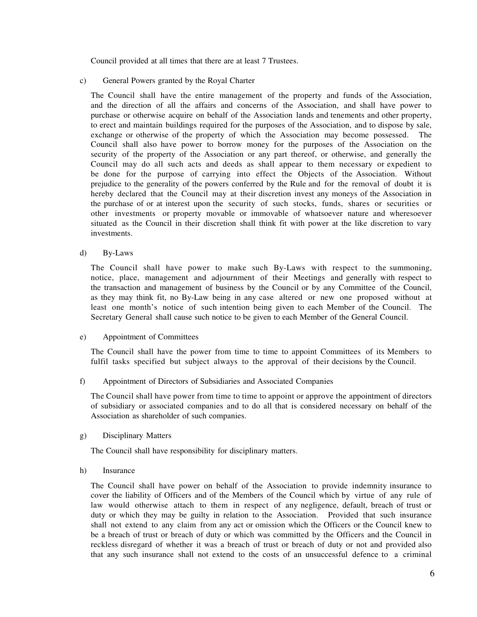Council provided at all times that there are at least 7 Trustees.

c) General Powers granted by the Royal Charter

The Council shall have the entire management of the property and funds of the Association, and the direction of all the affairs and concerns of the Association, and shall have power to purchase or otherwise acquire on behalf of the Association lands and tenements and other property, to erect and maintain buildings required for the purposes of the Association, and to dispose by sale, exchange or otherwise of the property of which the Association may become possessed. The Council shall also have power to borrow money for the purposes of the Association on the security of the property of the Association or any part thereof, or otherwise, and generally the Council may do all such acts and deeds as shall appear to them necessary or expedient to be done for the purpose of carrying into effect the Objects of the Association. Without prejudice to the generality of the powers conferred by the Rule and for the removal of doubt it is hereby declared that the Council may at their discretion invest any moneys of the Association in the purchase of or at interest upon the security of such stocks, funds, shares or securities or other investments or property movable or immovable of whatsoever nature and wheresoever situated as the Council in their discretion shall think fit with power at the like discretion to vary investments.

d) By-Laws

The Council shall have power to make such By-Laws with respect to the summoning, notice, place, management and adjournment of their Meetings and generally with respect to the transaction and management of business by the Council or by any Committee of the Council, as they may think fit, no By-Law being in any case altered or new one proposed without at least one month's notice of such intention being given to each Member of the Council. The Secretary General shall cause such notice to be given to each Member of the General Council.

#### e) Appointment of Committees

The Council shall have the power from time to time to appoint Committees of its Members to fulfil tasks specified but subject always to the approval of their decisions by the Council.

f) Appointment of Directors of Subsidiaries and Associated Companies

The Council shall have power from time to time to appoint or approve the appointment of directors of subsidiary or associated companies and to do all that is considered necessary on behalf of the Association as shareholder of such companies.

g) Disciplinary Matters

The Council shall have responsibility for disciplinary matters.

h) Insurance

The Council shall have power on behalf of the Association to provide indemnity insurance to cover the liability of Officers and of the Members of the Council which by virtue of any rule of law would otherwise attach to them in respect of any negligence, default, breach of trust or duty or which they may be guilty in relation to the Association. Provided that such insurance shall not extend to any claim from any act or omission which the Officers or the Council knew to be a breach of trust or breach of duty or which was committed by the Officers and the Council in reckless disregard of whether it was a breach of trust or breach of duty or not and provided also that any such insurance shall not extend to the costs of an unsuccessful defence to a criminal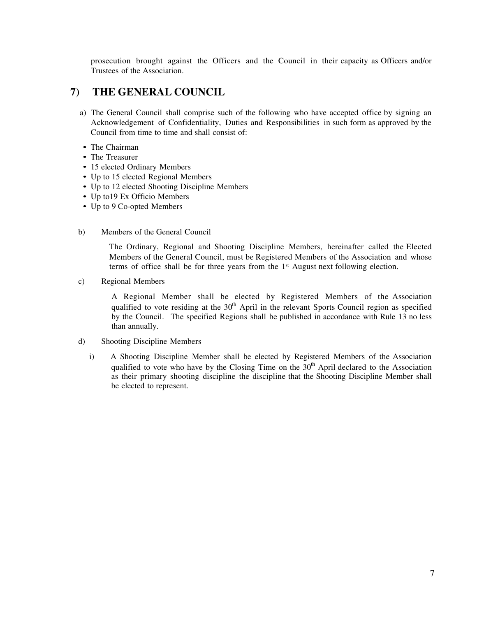prosecution brought against the Officers and the Council in their capacity as Officers and/or Trustees of the Association.

# **7) THE GENERAL COUNCIL**

- a) The General Council shall comprise such of the following who have accepted office by signing an Acknowledgement of Confidentiality, Duties and Responsibilities in such form as approved by the Council from time to time and shall consist of:
- The Chairman
- The Treasurer
- 15 elected Ordinary Members
- Up to 15 elected Regional Members
- Up to 12 elected Shooting Discipline Members
- Up to19 Ex Officio Members
- Up to 9 Co-opted Members
- b) Members of the General Council

The Ordinary, Regional and Shooting Discipline Members, hereinafter called the Elected Members of the General Council, must be Registered Members of the Association and whose terms of office shall be for three years from the  $1<sup>st</sup>$  August next following election.

c) Regional Members

A Regional Member shall be elected by Registered Members of the Association qualified to vote residing at the  $30<sup>th</sup>$  April in the relevant Sports Council region as specified by the Council. The specified Regions shall be published in accordance with Rule 13 no less than annually.

- d) Shooting Discipline Members
	- i) A Shooting Discipline Member shall be elected by Registered Members of the Association qualified to vote who have by the Closing Time on the  $30<sup>th</sup>$  April declared to the Association as their primary shooting discipline the discipline that the Shooting Discipline Member shall be elected to represent.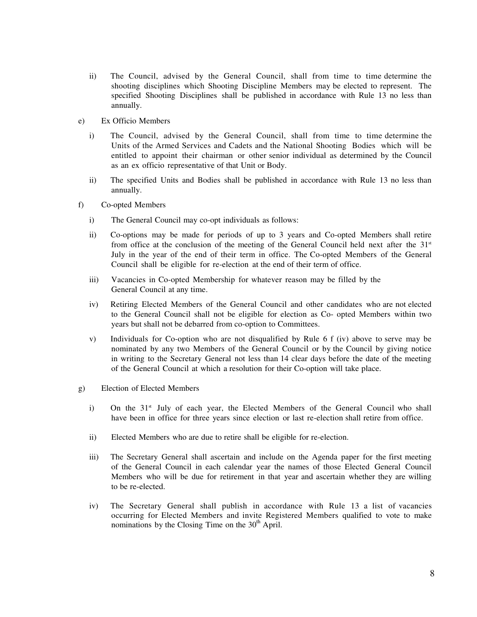- ii) The Council, advised by the General Council, shall from time to time determine the shooting disciplines which Shooting Discipline Members may be elected to represent. The specified Shooting Disciplines shall be published in accordance with Rule 13 no less than annually.
- e) Ex Officio Members
	- i) The Council, advised by the General Council, shall from time to time determine the Units of the Armed Services and Cadets and the National Shooting Bodies which will be entitled to appoint their chairman or other senior individual as determined by the Council as an ex officio representative of that Unit or Body.
	- ii) The specified Units and Bodies shall be published in accordance with Rule 13 no less than annually.
- f) Co-opted Members
	- i) The General Council may co-opt individuals as follows:
	- ii) Co-options may be made for periods of up to 3 years and Co-opted Members shall retire from office at the conclusion of the meeting of the General Council held next after the  $31<sup>st</sup>$ July in the year of the end of their term in office. The Co-opted Members of the General Council shall be eligible for re-election at the end of their term of office.
	- iii) Vacancies in Co-opted Membership for whatever reason may be filled by the General Council at any time.
	- iv) Retiring Elected Members of the General Council and other candidates who are not elected to the General Council shall not be eligible for election as Co- opted Members within two years but shall not be debarred from co-option to Committees.
	- v) Individuals for Co-option who are not disqualified by Rule 6 f (iv) above to serve may be nominated by any two Members of the General Council or by the Council by giving notice in writing to the Secretary General not less than 14 clear days before the date of the meeting of the General Council at which a resolution for their Co-option will take place.
- g) Election of Elected Members
	- i) On the  $31<sup>st</sup>$  July of each year, the Elected Members of the General Council who shall have been in office for three years since election or last re-election shall retire from office.
	- ii) Elected Members who are due to retire shall be eligible for re-election.
	- iii) The Secretary General shall ascertain and include on the Agenda paper for the first meeting of the General Council in each calendar year the names of those Elected General Council Members who will be due for retirement in that year and ascertain whether they are willing to be re-elected.
	- iv) The Secretary General shall publish in accordance with Rule 13 a list of vacancies occurring for Elected Members and invite Registered Members qualified to vote to make nominations by the Closing Time on the  $30<sup>th</sup>$  April.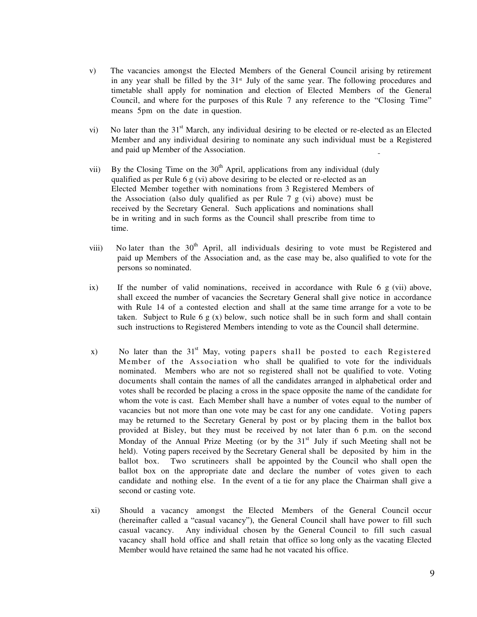- v) The vacancies amongst the Elected Members of the General Council arising by retirement in any year shall be filled by the  $31<sup>st</sup>$  July of the same year. The following procedures and timetable shall apply for nomination and election of Elected Members of the General Council, and where for the purposes of this Rule 7 any reference to the "Closing Time" means 5pm on the date in question.
- vi) No later than the 31<sup>st</sup> March, any individual desiring to be elected or re-elected as an Elected Member and any individual desiring to nominate any such individual must be a Registered and paid up Member of the Association.
- vii) By the Closing Time on the  $30<sup>th</sup>$  April, applications from any individual (duly qualified as per Rule 6 g (vi) above desiring to be elected or re-elected as an Elected Member together with nominations from 3 Registered Members of the Association (also duly qualified as per Rule  $7 g (vi)$  above) must be received by the Secretary General. Such applications and nominations shall be in writing and in such forms as the Council shall prescribe from time to time.
- viii) No later than the  $30<sup>th</sup>$  April, all individuals desiring to vote must be Registered and paid up Members of the Association and, as the case may be, also qualified to vote for the persons so nominated.
- ix) If the number of valid nominations, received in accordance with Rule 6 g (vii) above, shall exceed the number of vacancies the Secretary General shall give notice in accordance with Rule 14 of a contested election and shall at the same time arrange for a vote to be taken. Subject to Rule 6 g  $(x)$  below, such notice shall be in such form and shall contain such instructions to Registered Members intending to vote as the Council shall determine.
- x) No later than the  $31<sup>st</sup>$  May, voting papers shall be posted to each Registered Member of the Association who shall be qualified to vote for the individuals nominated. Members who are not so registered shall not be qualified to vote. Voting documents shall contain the names of all the candidates arranged in alphabetical order and votes shall be recorded be placing a cross in the space opposite the name of the candidate for whom the vote is cast. Each Member shall have a number of votes equal to the number of vacancies but not more than one vote may be cast for any one candidate. Voting papers may be returned to the Secretary General by post or by placing them in the ballot box provided at Bisley, but they must be received by not later than 6 p.m. on the second Monday of the Annual Prize Meeting (or by the  $31<sup>st</sup>$  July if such Meeting shall not be held). Voting papers received by the Secretary General shall be deposited by him in the ballot box. Two scrutineers shall be appointed by the Council who shall open the ballot box on the appropriate date and declare the number of votes given to each candidate and nothing else. In the event of a tie for any place the Chairman shall give a second or casting vote.
- xi) Should a vacancy amongst the Elected Members of the General Council occur (hereinafter called a "casual vacancy"), the General Council shall have power to fill such casual vacancy. Any individual chosen by the General Council to fill such casual vacancy shall hold office and shall retain that office so long only as the vacating Elected Member would have retained the same had he not vacated his office.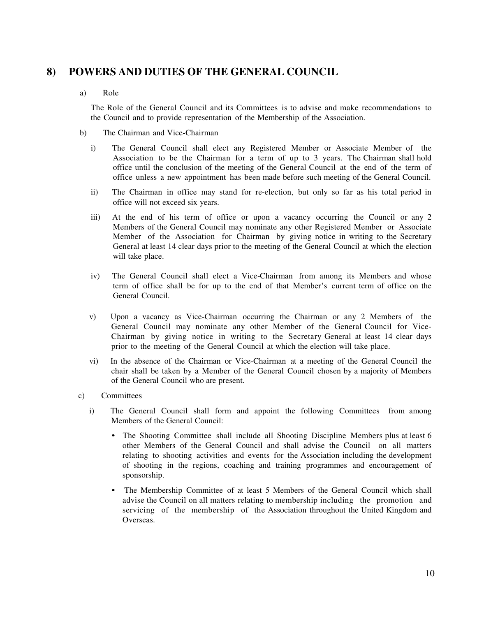# **8) POWERS AND DUTIES OF THE GENERAL COUNCIL**

### a) Role

The Role of the General Council and its Committees is to advise and make recommendations to the Council and to provide representation of the Membership of the Association.

### b) The Chairman and Vice-Chairman

- i) The General Council shall elect any Registered Member or Associate Member of the Association to be the Chairman for a term of up to 3 years. The Chairman shall hold office until the conclusion of the meeting of the General Council at the end of the term of office unless a new appointment has been made before such meeting of the General Council.
- ii) The Chairman in office may stand for re-election, but only so far as his total period in office will not exceed six years.
- iii) At the end of his term of office or upon a vacancy occurring the Council or any 2 Members of the General Council may nominate any other Registered Member or Associate Member of the Association for Chairman by giving notice in writing to the Secretary General at least 14 clear days prior to the meeting of the General Council at which the election will take place.
- iv) The General Council shall elect a Vice-Chairman from among its Members and whose term of office shall be for up to the end of that Member's current term of office on the General Council.
- v) Upon a vacancy as Vice-Chairman occurring the Chairman or any 2 Members of the General Council may nominate any other Member of the General Council for Vice-Chairman by giving notice in writing to the Secretary General at least 14 clear days prior to the meeting of the General Council at which the election will take place.
- vi) In the absence of the Chairman or Vice-Chairman at a meeting of the General Council the chair shall be taken by a Member of the General Council chosen by a majority of Members of the General Council who are present.
- c) Committees
	- i) The General Council shall form and appoint the following Committees from among Members of the General Council:
		- The Shooting Committee shall include all Shooting Discipline Members plus at least 6 other Members of the General Council and shall advise the Council on all matters relating to shooting activities and events for the Association including the development of shooting in the regions, coaching and training programmes and encouragement of sponsorship.
		- The Membership Committee of at least 5 Members of the General Council which shall advise the Council on all matters relating to membership including the promotion and servicing of the membership of the Association throughout the United Kingdom and Overseas.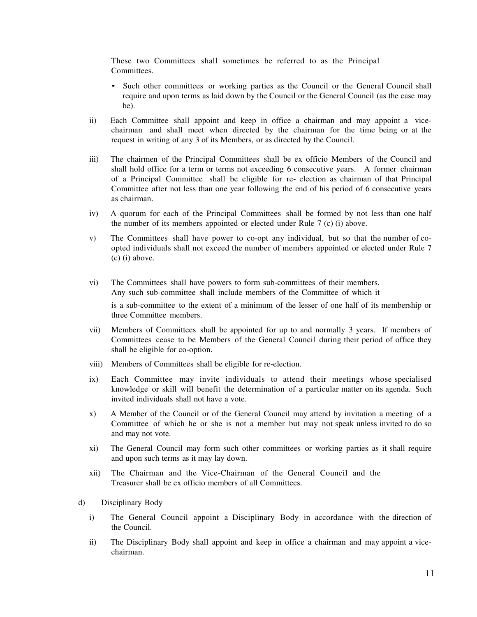These two Committees shall sometimes be referred to as the Principal **Committees** 

- Such other committees or working parties as the Council or the General Council shall require and upon terms as laid down by the Council or the General Council (as the case may be).
- ii) Each Committee shall appoint and keep in office a chairman and may appoint a vicechairman and shall meet when directed by the chairman for the time being or at the request in writing of any 3 of its Members, or as directed by the Council.
- iii) The chairmen of the Principal Committees shall be ex officio Members of the Council and shall hold office for a term or terms not exceeding 6 consecutive years. A former chairman of a Principal Committee shall be eligible for re- election as chairman of that Principal Committee after not less than one year following the end of his period of 6 consecutive years as chairman.
- iv) A quorum for each of the Principal Committees shall be formed by not less than one half the number of its members appointed or elected under Rule 7 (c) (i) above.
- v) The Committees shall have power to co-opt any individual, but so that the number of coopted individuals shall not exceed the number of members appointed or elected under Rule 7 (c) (i) above.
- vi) The Committees shall have powers to form sub-committees of their members. Any such sub-committee shall include members of the Committee of which it is a sub-committee to the extent of a minimum of the lesser of one half of its membership or three Committee members.
- vii) Members of Committees shall be appointed for up to and normally 3 years. If members of Committees cease to be Members of the General Council during their period of office they shall be eligible for co-option.
- viii) Members of Committees shall be eligible for re-election.
- ix) Each Committee may invite individuals to attend their meetings whose specialised knowledge or skill will benefit the determination of a particular matter on its agenda. Such invited individuals shall not have a vote.
- x) A Member of the Council or of the General Council may attend by invitation a meeting of a Committee of which he or she is not a member but may not speak unless invited to do so and may not vote.
- xi) The General Council may form such other committees or working parties as it shall require and upon such terms as it may lay down.
- xii) The Chairman and the Vice-Chairman of the General Council and the Treasurer shall be ex officio members of all Committees.
- d) Disciplinary Body
	- i) The General Council appoint a Disciplinary Body in accordance with the direction of the Council.
	- ii) The Disciplinary Body shall appoint and keep in office a chairman and may appoint a vicechairman.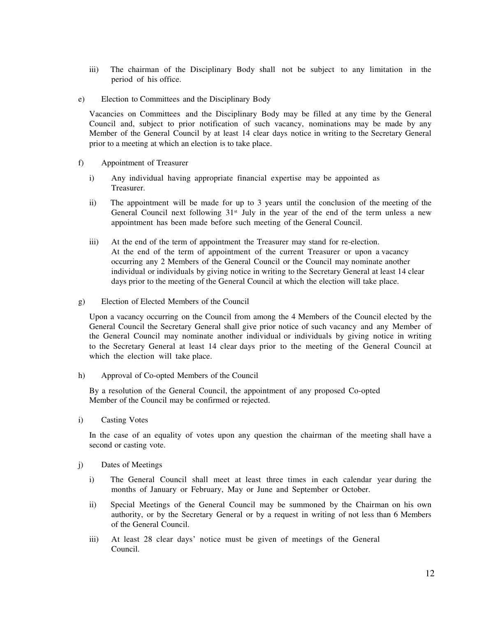- iii) The chairman of the Disciplinary Body shall not be subject to any limitation in the period of his office.
- e) Election to Committees and the Disciplinary Body

Vacancies on Committees and the Disciplinary Body may be filled at any time by the General Council and, subject to prior notification of such vacancy, nominations may be made by any Member of the General Council by at least 14 clear days notice in writing to the Secretary General prior to a meeting at which an election is to take place.

- f) Appointment of Treasurer
	- i) Any individual having appropriate financial expertise may be appointed as Treasurer.
	- ii) The appointment will be made for up to 3 years until the conclusion of the meeting of the General Council next following  $31<sup>st</sup>$  July in the year of the end of the term unless a new appointment has been made before such meeting of the General Council.
	- iii) At the end of the term of appointment the Treasurer may stand for re-election. At the end of the term of appointment of the current Treasurer or upon a vacancy occurring any 2 Members of the General Council or the Council may nominate another individual or individuals by giving notice in writing to the Secretary General at least 14 clear days prior to the meeting of the General Council at which the election will take place.
- g) Election of Elected Members of the Council

Upon a vacancy occurring on the Council from among the 4 Members of the Council elected by the General Council the Secretary General shall give prior notice of such vacancy and any Member of the General Council may nominate another individual or individuals by giving notice in writing to the Secretary General at least 14 clear days prior to the meeting of the General Council at which the election will take place.

h) Approval of Co-opted Members of the Council

By a resolution of the General Council, the appointment of any proposed Co-opted Member of the Council may be confirmed or rejected.

i) Casting Votes

In the case of an equality of votes upon any question the chairman of the meeting shall have a second or casting vote.

- j) Dates of Meetings
	- i) The General Council shall meet at least three times in each calendar year during the months of January or February, May or June and September or October.
	- ii) Special Meetings of the General Council may be summoned by the Chairman on his own authority, or by the Secretary General or by a request in writing of not less than 6 Members of the General Council.
	- iii) At least 28 clear days' notice must be given of meetings of the General Council.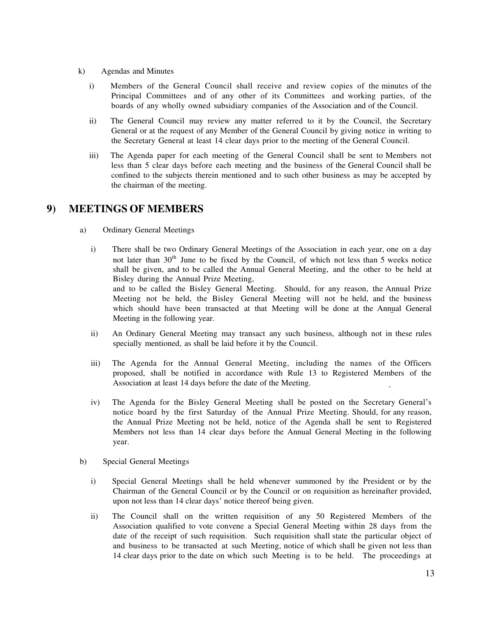- k) Agendas and Minutes
	- i) Members of the General Council shall receive and review copies of the minutes of the Principal Committees and of any other of its Committees and working parties, of the boards of any wholly owned subsidiary companies of the Association and of the Council.
	- ii) The General Council may review any matter referred to it by the Council, the Secretary General or at the request of any Member of the General Council by giving notice in writing to the Secretary General at least 14 clear days prior to the meeting of the General Council.
	- iii) The Agenda paper for each meeting of the General Council shall be sent to Members not less than 5 clear days before each meeting and the business of the General Council shall be confined to the subjects therein mentioned and to such other business as may be accepted by the chairman of the meeting.

### **9) MEETINGS OF MEMBERS**

- a) Ordinary General Meetings
	- i) There shall be two Ordinary General Meetings of the Association in each year, one on a day not later than  $30<sup>th</sup>$  June to be fixed by the Council, of which not less than 5 weeks notice shall be given, and to be called the Annual General Meeting, and the other to be held at Bisley during the Annual Prize Meeting, and to be called the Bisley General Meeting. Should, for any reason, the Annual Prize Meeting not be held, the Bisley General Meeting will not be held, and the business which should have been transacted at that Meeting will be done at the Annual General Meeting in the following year.
	- ii) An Ordinary General Meeting may transact any such business, although not in these rules specially mentioned, as shall be laid before it by the Council.
	- iii) The Agenda for the Annual General Meeting, including the names of the Officers proposed, shall be notified in accordance with Rule 13 to Registered Members of the Association at least 14 days before the date of the Meeting.
	- iv) The Agenda for the Bisley General Meeting shall be posted on the Secretary General's notice board by the first Saturday of the Annual Prize Meeting. Should, for any reason, the Annual Prize Meeting not be held, notice of the Agenda shall be sent to Registered Members not less than 14 clear days before the Annual General Meeting in the following year.
- b) Special General Meetings
	- i) Special General Meetings shall be held whenever summoned by the President or by the Chairman of the General Council or by the Council or on requisition as hereinafter provided, upon not less than 14 clear days' notice thereof being given.
	- ii) The Council shall on the written requisition of any 50 Registered Members of the Association qualified to vote convene a Special General Meeting within 28 days from the date of the receipt of such requisition. Such requisition shall state the particular object of and business to be transacted at such Meeting, notice of which shall be given not less than 14 clear days prior to the date on which such Meeting is to be held. The proceedings at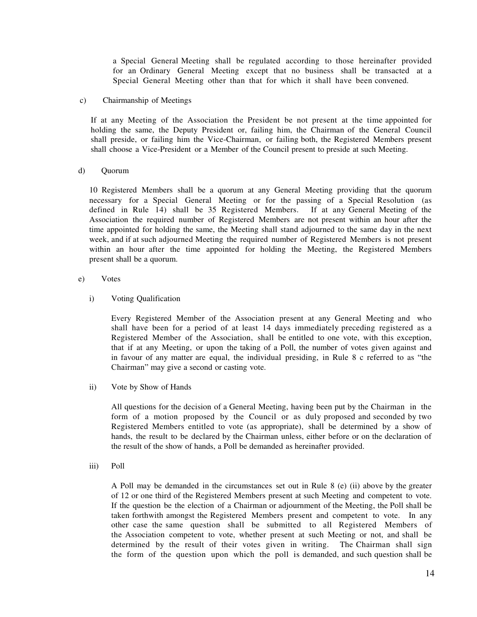a Special General Meeting shall be regulated according to those hereinafter provided for an Ordinary General Meeting except that no business shall be transacted at a Special General Meeting other than that for which it shall have been convened.

### c) Chairmanship of Meetings

If at any Meeting of the Association the President be not present at the time appointed for holding the same, the Deputy President or, failing him, the Chairman of the General Council shall preside, or failing him the Vice-Chairman, or failing both, the Registered Members present shall choose a Vice-President or a Member of the Council present to preside at such Meeting.

### d) Quorum

10 Registered Members shall be a quorum at any General Meeting providing that the quorum necessary for a Special General Meeting or for the passing of a Special Resolution (as defined in Rule 14) shall be 35 Registered Members. If at any General Meeting of the Association the required number of Registered Members are not present within an hour after the time appointed for holding the same, the Meeting shall stand adjourned to the same day in the next week, and if at such adjourned Meeting the required number of Registered Members is not present within an hour after the time appointed for holding the Meeting, the Registered Members present shall be a quorum.

### e) Votes

### i) Voting Qualification

Every Registered Member of the Association present at any General Meeting and who shall have been for a period of at least 14 days immediately preceding registered as a Registered Member of the Association, shall be entitled to one vote, with this exception, that if at any Meeting, or upon the taking of a Poll, the number of votes given against and in favour of any matter are equal, the individual presiding, in Rule 8 c referred to as "the Chairman" may give a second or casting vote.

ii) Vote by Show of Hands

All questions for the decision of a General Meeting, having been put by the Chairman in the form of a motion proposed by the Council or as duly proposed and seconded by two Registered Members entitled to vote (as appropriate), shall be determined by a show of hands, the result to be declared by the Chairman unless, either before or on the declaration of the result of the show of hands, a Poll be demanded as hereinafter provided.

iii) Poll

A Poll may be demanded in the circumstances set out in Rule 8 (e) (ii) above by the greater of 12 or one third of the Registered Members present at such Meeting and competent to vote. If the question be the election of a Chairman or adjournment of the Meeting, the Poll shall be taken forthwith amongst the Registered Members present and competent to vote. In any other case the same question shall be submitted to all Registered Members of the Association competent to vote, whether present at such Meeting or not, and shall be determined by the result of their votes given in writing. The Chairman shall sign the form of the question upon which the poll is demanded, and such question shall be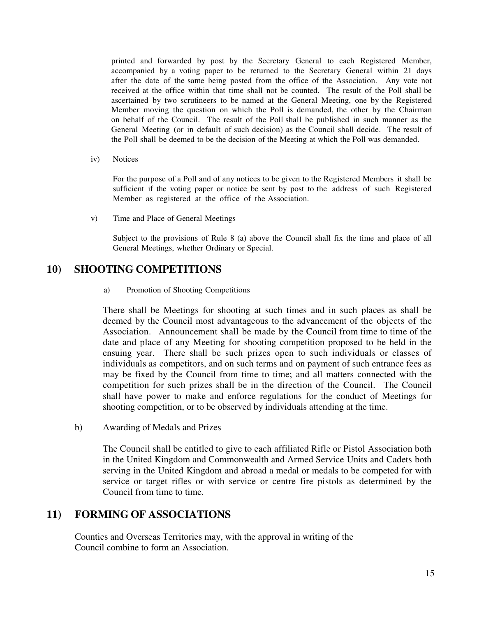printed and forwarded by post by the Secretary General to each Registered Member, accompanied by a voting paper to be returned to the Secretary General within 21 days after the date of the same being posted from the office of the Association. Any vote not received at the office within that time shall not be counted. The result of the Poll shall be ascertained by two scrutineers to be named at the General Meeting, one by the Registered Member moving the question on which the Poll is demanded, the other by the Chairman on behalf of the Council. The result of the Poll shall be published in such manner as the General Meeting (or in default of such decision) as the Council shall decide. The result of the Poll shall be deemed to be the decision of the Meeting at which the Poll was demanded.

iv) Notices

For the purpose of a Poll and of any notices to be given to the Registered Members it shall be sufficient if the voting paper or notice be sent by post to the address of such Registered Member as registered at the office of the Association.

v) Time and Place of General Meetings

Subject to the provisions of Rule 8 (a) above the Council shall fix the time and place of all General Meetings, whether Ordinary or Special.

## **10) SHOOTING COMPETITIONS**

a) Promotion of Shooting Competitions

There shall be Meetings for shooting at such times and in such places as shall be deemed by the Council most advantageous to the advancement of the objects of the Association. Announcement shall be made by the Council from time to time of the date and place of any Meeting for shooting competition proposed to be held in the ensuing year. There shall be such prizes open to such individuals or classes of individuals as competitors, and on such terms and on payment of such entrance fees as may be fixed by the Council from time to time; and all matters connected with the competition for such prizes shall be in the direction of the Council. The Council shall have power to make and enforce regulations for the conduct of Meetings for shooting competition, or to be observed by individuals attending at the time.

b) Awarding of Medals and Prizes

The Council shall be entitled to give to each affiliated Rifle or Pistol Association both in the United Kingdom and Commonwealth and Armed Service Units and Cadets both serving in the United Kingdom and abroad a medal or medals to be competed for with service or target rifles or with service or centre fire pistols as determined by the Council from time to time.

## **11) FORMING OF ASSOCIATIONS**

Counties and Overseas Territories may, with the approval in writing of the Council combine to form an Association.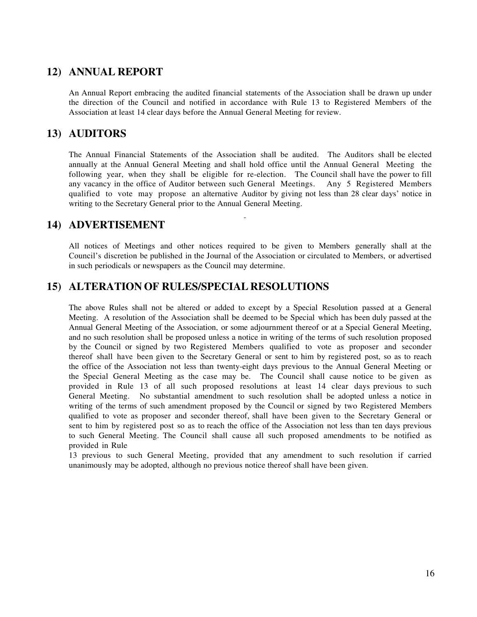# **12) ANNUAL REPORT**

An Annual Report embracing the audited financial statements of the Association shall be drawn up under the direction of the Council and notified in accordance with Rule 13 to Registered Members of the Association at least 14 clear days before the Annual General Meeting for review.

# **13) AUDITORS**

The Annual Financial Statements of the Association shall be audited. The Auditors shall be elected annually at the Annual General Meeting and shall hold office until the Annual General Meeting the following year, when they shall be eligible for re-election. The Council shall have the power to fill any vacancy in the office of Auditor between such General Meetings. Any 5 Registered Members qualified to vote may propose an alternative Auditor by giving not less than 28 clear days' notice in writing to the Secretary General prior to the Annual General Meeting.

# **14) ADVERTISEMENT**

All notices of Meetings and other notices required to be given to Members generally shall at the Council's discretion be published in the Journal of the Association or circulated to Members, or advertised in such periodicals or newspapers as the Council may determine.

# **15) ALTERATION OF RULES/SPECIAL RESOLUTIONS**

The above Rules shall not be altered or added to except by a Special Resolution passed at a General Meeting. A resolution of the Association shall be deemed to be Special which has been duly passed at the Annual General Meeting of the Association, or some adjournment thereof or at a Special General Meeting, and no such resolution shall be proposed unless a notice in writing of the terms of such resolution proposed by the Council or signed by two Registered Members qualified to vote as proposer and seconder thereof shall have been given to the Secretary General or sent to him by registered post, so as to reach the office of the Association not less than twenty-eight days previous to the Annual General Meeting or the Special General Meeting as the case may be. The Council shall cause notice to be given as provided in Rule 13 of all such proposed resolutions at least 14 clear days previous to such General Meeting. No substantial amendment to such resolution shall be adopted unless a notice in writing of the terms of such amendment proposed by the Council or signed by two Registered Members qualified to vote as proposer and seconder thereof, shall have been given to the Secretary General or sent to him by registered post so as to reach the office of the Association not less than ten days previous to such General Meeting. The Council shall cause all such proposed amendments to be notified as provided in Rule

13 previous to such General Meeting, provided that any amendment to such resolution if carried unanimously may be adopted, although no previous notice thereof shall have been given.